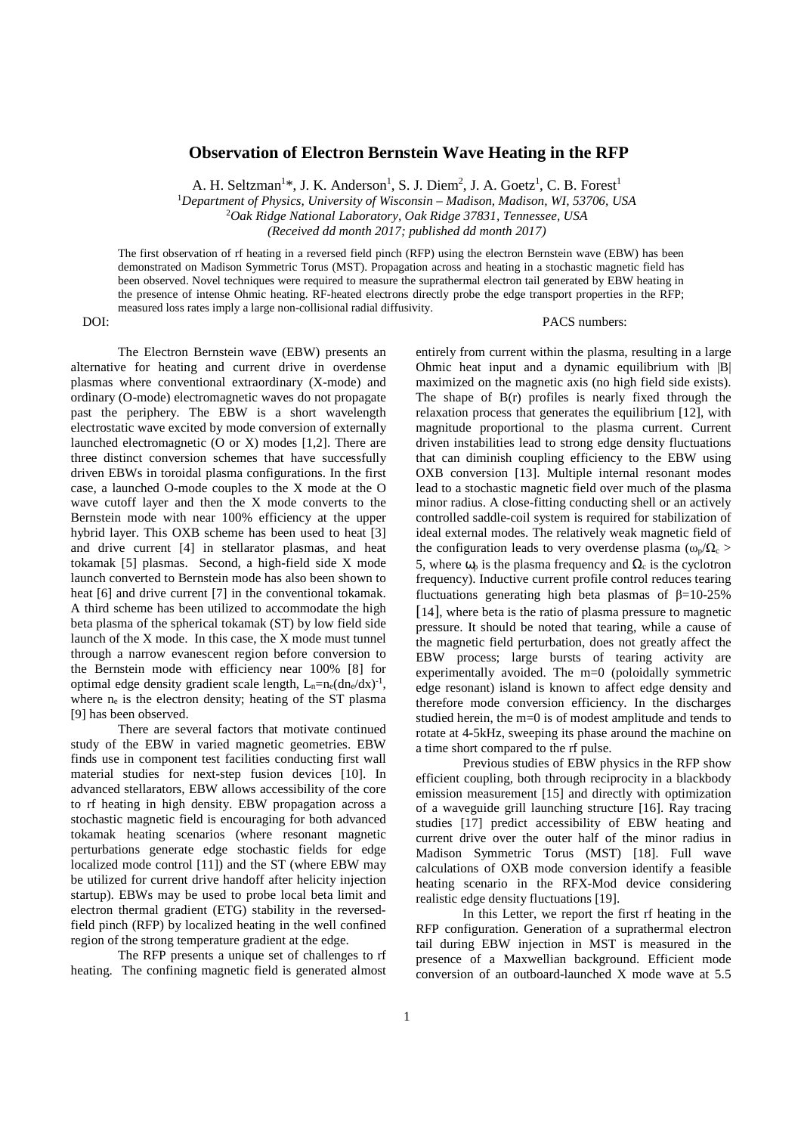## **Observation of Electron Bernstein Wave Heating in the RFP**

A. H. Seltzman<sup>1\*</sup>, J. K. Anderson<sup>1</sup>, S. J. Diem<sup>2</sup>, J. A. Goetz<sup>1</sup>, C. B. Forest<sup>1</sup>

<sup>1</sup>*Department of Physics, University of Wisconsin – Madison, Madison, WI, 53706, USA* 

<sup>2</sup>*Oak Ridge National Laboratory, Oak Ridge 37831, Tennessee, USA* 

*(Received dd month 2017; published dd month 2017)* 

The first observation of rf heating in a reversed field pinch (RFP) using the electron Bernstein wave (EBW) has been demonstrated on Madison Symmetric Torus (MST). Propagation across and heating in a stochastic magnetic field has been observed. Novel techniques were required to measure the suprathermal electron tail generated by EBW heating in the presence of intense Ohmic heating. RF-heated electrons directly probe the edge transport properties in the RFP; measured loss rates imply a large non-collisional radial diffusivity.

DOI: PACS numbers:

The Electron Bernstein wave (EBW) presents an alternative for heating and current drive in overdense plasmas where conventional extraordinary (X-mode) and ordinary (O-mode) electromagnetic waves do not propagate past the periphery. The EBW is a short wavelength electrostatic wave excited by mode conversion of externally launched electromagnetic (O or X) modes [1,2]. There are three distinct conversion schemes that have successfully driven EBWs in toroidal plasma configurations. In the first case, a launched O-mode couples to the X mode at the O wave cutoff layer and then the X mode converts to the Bernstein mode with near 100% efficiency at the upper hybrid layer. This OXB scheme has been used to heat [3] and drive current [4] in stellarator plasmas, and heat tokamak [5] plasmas. Second, a high-field side X mode launch converted to Bernstein mode has also been shown to heat [6] and drive current [7] in the conventional tokamak. A third scheme has been utilized to accommodate the high beta plasma of the spherical tokamak (ST) by low field side launch of the X mode. In this case, the X mode must tunnel through a narrow evanescent region before conversion to the Bernstein mode with efficiency near 100% [8] for optimal edge density gradient scale length,  $L_n=n_e(dn_e/dx)^{-1}$ , where  $n_e$  is the electron density; heating of the ST plasma [9] has been observed.

There are several factors that motivate continued study of the EBW in varied magnetic geometries. EBW finds use in component test facilities conducting first wall material studies for next-step fusion devices [10]. In advanced stellarators, EBW allows accessibility of the core to rf heating in high density. EBW propagation across a stochastic magnetic field is encouraging for both advanced tokamak heating scenarios (where resonant magnetic perturbations generate edge stochastic fields for edge localized mode control [11]) and the ST (where EBW may be utilized for current drive handoff after helicity injection startup). EBWs may be used to probe local beta limit and electron thermal gradient (ETG) stability in the reversedfield pinch (RFP) by localized heating in the well confined region of the strong temperature gradient at the edge.

The RFP presents a unique set of challenges to rf heating. The confining magnetic field is generated almost

entirely from current within the plasma, resulting in a large Ohmic heat input and a dynamic equilibrium with |B| maximized on the magnetic axis (no high field side exists). The shape of  $B(r)$  profiles is nearly fixed through the relaxation process that generates the equilibrium [12], with magnitude proportional to the plasma current. Current driven instabilities lead to strong edge density fluctuations that can diminish coupling efficiency to the EBW using OXB conversion [13]. Multiple internal resonant modes lead to a stochastic magnetic field over much of the plasma minor radius. A close-fitting conducting shell or an actively controlled saddle-coil system is required for stabilization of ideal external modes. The relatively weak magnetic field of the configuration leads to very overdense plasma ( $\omega_p/\Omega_c$ ) 5, where  $ω_p$  is the plasma frequency and  $Ω_c$  is the cyclotron frequency). Inductive current profile control reduces tearing fluctuations generating high beta plasmas of β=10-25% [14], where beta is the ratio of plasma pressure to magnetic pressure. It should be noted that tearing, while a cause of the magnetic field perturbation, does not greatly affect the EBW process; large bursts of tearing activity are experimentally avoided. The m=0 (poloidally symmetric edge resonant) island is known to affect edge density and therefore mode conversion efficiency. In the discharges studied herein, the m=0 is of modest amplitude and tends to rotate at 4-5kHz, sweeping its phase around the machine on a time short compared to the rf pulse.

Previous studies of EBW physics in the RFP show efficient coupling, both through reciprocity in a blackbody emission measurement [15] and directly with optimization of a waveguide grill launching structure [16]. Ray tracing studies [17] predict accessibility of EBW heating and current drive over the outer half of the minor radius in Madison Symmetric Torus (MST) [18]. Full wave calculations of OXB mode conversion identify a feasible heating scenario in the RFX-Mod device considering realistic edge density fluctuations [19].

In this Letter, we report the first rf heating in the RFP configuration. Generation of a suprathermal electron tail during EBW injection in MST is measured in the presence of a Maxwellian background. Efficient mode conversion of an outboard-launched X mode wave at 5.5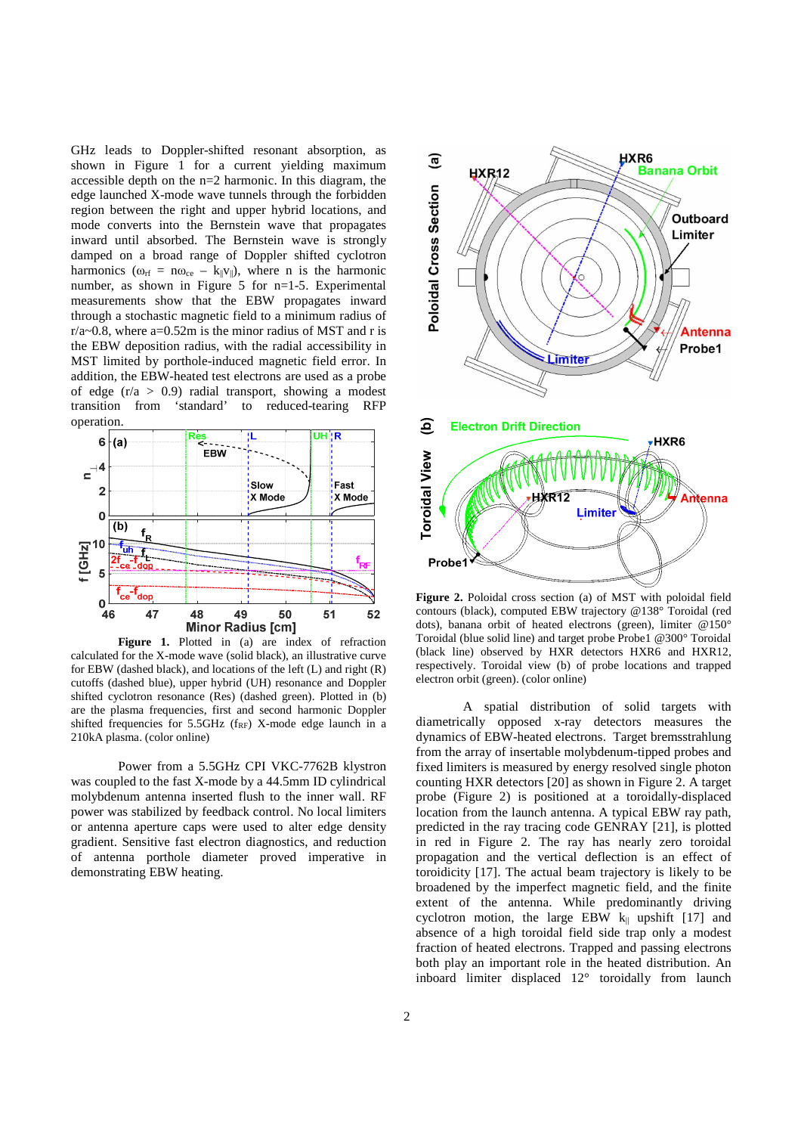GHz leads to Doppler-shifted resonant absorption, as shown in Figure 1 for a current yielding maximum accessible depth on the n=2 harmonic. In this diagram, the edge launched X-mode wave tunnels through the forbidden region between the right and upper hybrid locations, and mode converts into the Bernstein wave that propagates inward until absorbed. The Bernstein wave is strongly damped on a broad range of Doppler shifted cyclotron harmonics ( $\omega_{\text{rf}} = n\omega_{\text{ce}} - k_{\parallel}v_{\parallel}$ ), where n is the harmonic number, as shown in Figure 5 for n=1-5. Experimental measurements show that the EBW propagates inward through a stochastic magnetic field to a minimum radius of  $r/a$ ~0.8, where a=0.52m is the minor radius of MST and r is the EBW deposition radius, with the radial accessibility in MST limited by porthole-induced magnetic field error. In addition, the EBW-heated test electrons are used as a probe of edge  $(r/a > 0.9)$  radial transport, showing a modest transition from 'standard' to reduced-tearing RFP operation.



Figure 1. Plotted in (a) are index of refraction calculated for the X-mode wave (solid black), an illustrative curve for EBW (dashed black), and locations of the left (L) and right (R) cutoffs (dashed blue), upper hybrid (UH) resonance and Doppler shifted cyclotron resonance (Res) (dashed green). Plotted in (b) are the plasma frequencies, first and second harmonic Doppler shifted frequencies for  $5.5\text{GHz}$  (f<sub>RF</sub>) X-mode edge launch in a 210kA plasma. (color online)

Power from a 5.5GHz CPI VKC-7762B klystron was coupled to the fast X-mode by a 44.5mm ID cylindrical molybdenum antenna inserted flush to the inner wall. RF power was stabilized by feedback control. No local limiters or antenna aperture caps were used to alter edge density gradient. Sensitive fast electron diagnostics, and reduction of antenna porthole diameter proved imperative in demonstrating EBW heating.



**Figure 2.** Poloidal cross section (a) of MST with poloidal field contours (black), computed EBW trajectory @138° Toroidal (red dots), banana orbit of heated electrons (green), limiter @150° Toroidal (blue solid line) and target probe Probe1 @300° Toroidal (black line) observed by HXR detectors HXR6 and HXR12, respectively. Toroidal view (b) of probe locations and trapped electron orbit (green). (color online)

A spatial distribution of solid targets with diametrically opposed x-ray detectors measures the dynamics of EBW-heated electrons. Target bremsstrahlung from the array of insertable molybdenum-tipped probes and fixed limiters is measured by energy resolved single photon counting HXR detectors [20] as shown in Figure 2. A target probe (Figure 2) is positioned at a toroidally-displaced location from the launch antenna. A typical EBW ray path, predicted in the ray tracing code GENRAY [21], is plotted in red in Figure 2. The ray has nearly zero toroidal propagation and the vertical deflection is an effect of toroidicity [17]. The actual beam trajectory is likely to be broadened by the imperfect magnetic field, and the finite extent of the antenna. While predominantly driving cyclotron motion, the large EBW  $k_{\parallel}$  upshift [17] and absence of a high toroidal field side trap only a modest fraction of heated electrons. Trapped and passing electrons both play an important role in the heated distribution. An inboard limiter displaced 12° toroidally from launch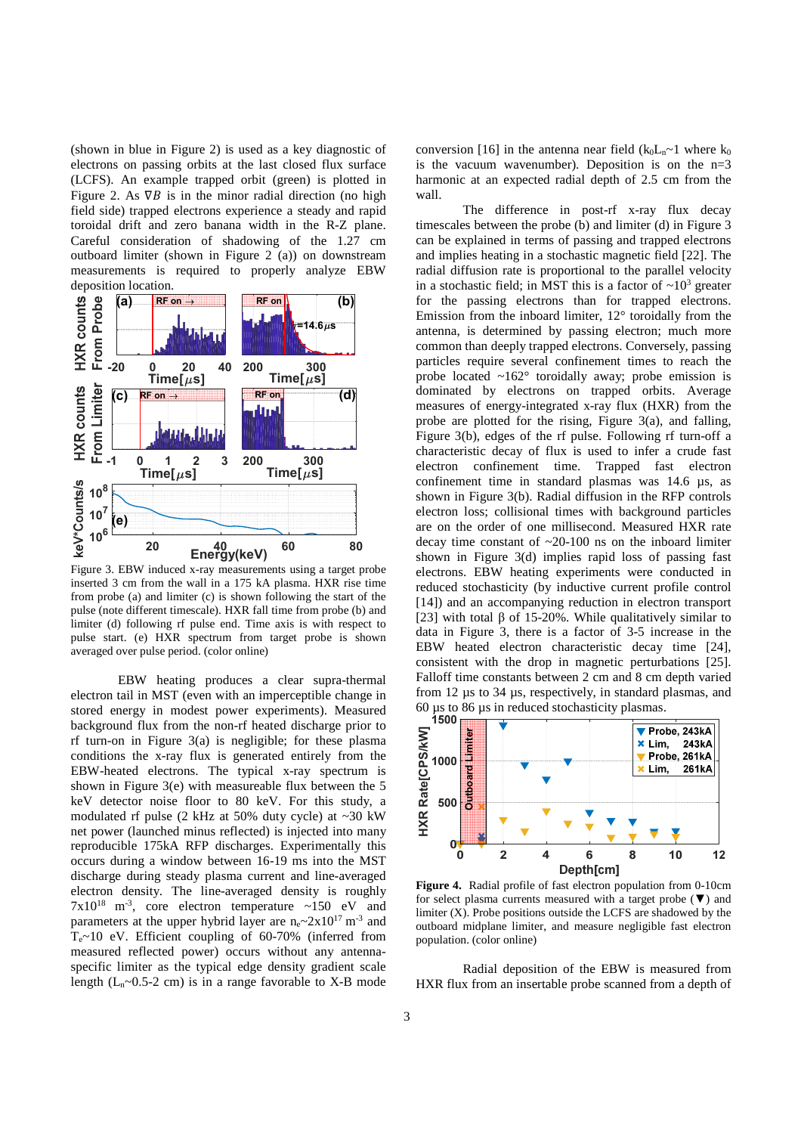(shown in blue in Figure 2) is used as a key diagnostic of electrons on passing orbits at the last closed flux surface (LCFS). An example trapped orbit (green) is plotted in Figure 2. As  $\nabla B$  is in the minor radial direction (no high field side) trapped electrons experience a steady and rapid toroidal drift and zero banana width in the R-Z plane. Careful consideration of shadowing of the 1.27 cm outboard limiter (shown in Figure 2 (a)) on downstream measurements is required to properly analyze EBW



Figure 3. EBW induced x-ray measurements using a target probe inserted 3 cm from the wall in a 175 kA plasma. HXR rise time from probe (a) and limiter (c) is shown following the start of the pulse (note different timescale). HXR fall time from probe (b) and limiter (d) following rf pulse end. Time axis is with respect to pulse start. (e) HXR spectrum from target probe is shown averaged over pulse period. (color online)

EBW heating produces a clear supra-thermal electron tail in MST (even with an imperceptible change in stored energy in modest power experiments). Measured background flux from the non-rf heated discharge prior to rf turn-on in Figure  $3(a)$  is negligible; for these plasma conditions the x-ray flux is generated entirely from the EBW-heated electrons. The typical x-ray spectrum is shown in Figure 3(e) with measureable flux between the 5 keV detector noise floor to 80 keV. For this study, a modulated rf pulse (2 kHz at 50% duty cycle) at  $\sim$ 30 kW net power (launched minus reflected) is injected into many reproducible 175kA RFP discharges. Experimentally this occurs during a window between 16-19 ms into the MST discharge during steady plasma current and line-averaged electron density. The line-averaged density is roughly  $7x10^{18}$  m<sup>-3</sup>, core electron temperature ~150 eV and parameters at the upper hybrid layer are  $n_e \sim 2x10^{17}$  m<sup>-3</sup> and  $T_e \sim 10$  eV. Efficient coupling of 60-70% (inferred from measured reflected power) occurs without any antennaspecific limiter as the typical edge density gradient scale length  $(L_n \sim 0.5-2$  cm) is in a range favorable to X-B mode

conversion [16] in the antenna near field  $(k_0L_n \sim 1$  where  $k_0$ is the vacuum wavenumber). Deposition is on the  $n=3$ harmonic at an expected radial depth of 2.5 cm from the wall.

The difference in post-rf x-ray flux decay timescales between the probe (b) and limiter (d) in Figure 3 can be explained in terms of passing and trapped electrons and implies heating in a stochastic magnetic field [22]. The radial diffusion rate is proportional to the parallel velocity in a stochastic field; in MST this is a factor of  $\sim 10^3$  greater for the passing electrons than for trapped electrons. Emission from the inboard limiter, 12° toroidally from the antenna, is determined by passing electron; much more common than deeply trapped electrons. Conversely, passing particles require several confinement times to reach the probe located  $\sim 162^\circ$  toroidally away; probe emission is dominated by electrons on trapped orbits. Average measures of energy-integrated x-ray flux (HXR) from the probe are plotted for the rising, Figure 3(a), and falling, Figure 3(b), edges of the rf pulse. Following rf turn-off a characteristic decay of flux is used to infer a crude fast electron confinement time. Trapped fast electron confinement time in standard plasmas was 14.6 µs, as shown in Figure 3(b). Radial diffusion in the RFP controls electron loss; collisional times with background particles are on the order of one millisecond. Measured HXR rate decay time constant of ~20-100 ns on the inboard limiter shown in Figure 3(d) implies rapid loss of passing fast electrons. EBW heating experiments were conducted in reduced stochasticity (by inductive current profile control [14]) and an accompanying reduction in electron transport [23] with total  $\beta$  of 15-20%. While qualitatively similar to data in Figure 3, there is a factor of 3-5 increase in the EBW heated electron characteristic decay time [24], consistent with the drop in magnetic perturbations [25]. Falloff time constants between 2 cm and 8 cm depth varied from 12 µs to 34 µs, respectively, in standard plasmas, and 60 us to 86 us in reduced stochasticity plasmas.<br>1500



**Figure 4.** Radial profile of fast electron population from 0-10cm for select plasma currents measured with a target probe  $(\nabla)$  and limiter (X). Probe positions outside the LCFS are shadowed by the outboard midplane limiter, and measure negligible fast electron population. (color online)

Radial deposition of the EBW is measured from HXR flux from an insertable probe scanned from a depth of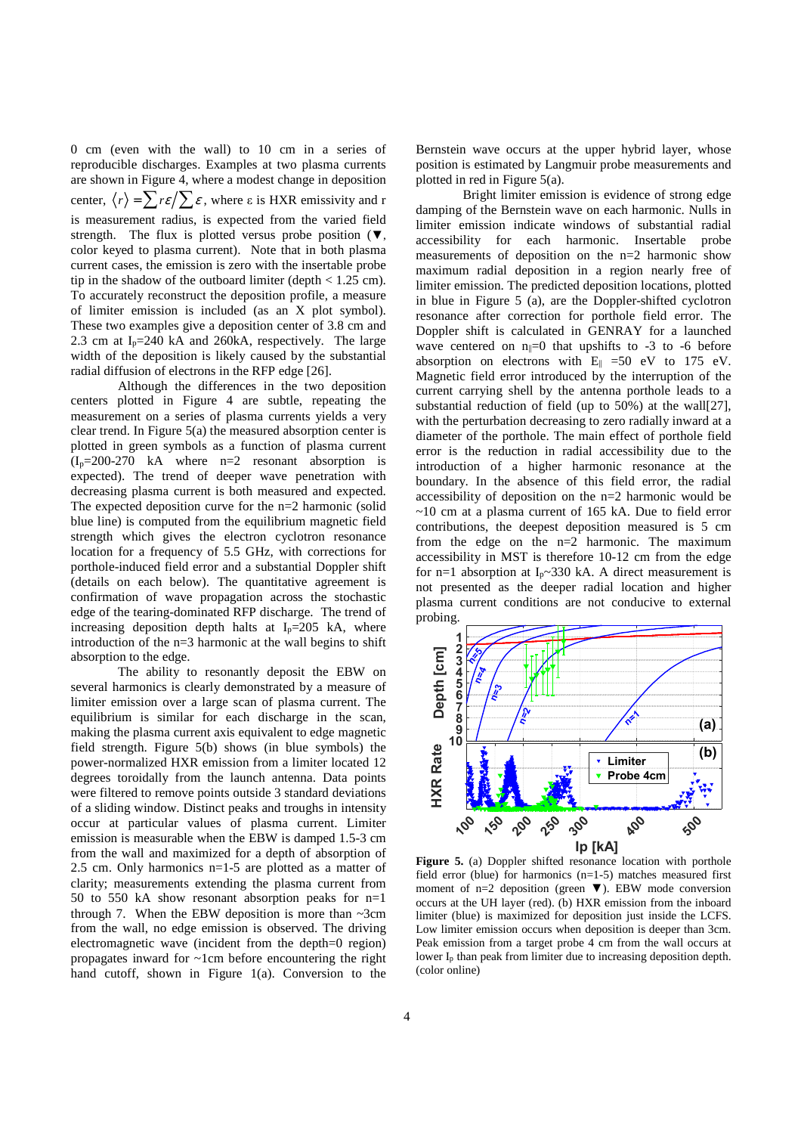0 cm (even with the wall) to 10 cm in a series of reproducible discharges. Examples at two plasma currents are shown in Figure 4, where a modest change in deposition center,  $\langle r \rangle = \sum r \varepsilon / \sum \varepsilon$ , where  $\varepsilon$  is HXR emissivity and r is measurement radius, is expected from the varied field strength. The flux is plotted versus probe position ( $\nabla$ , color keyed to plasma current). Note that in both plasma current cases, the emission is zero with the insertable probe tip in the shadow of the outboard limiter (depth  $< 1.25$  cm). To accurately reconstruct the deposition profile, a measure of limiter emission is included (as an X plot symbol). These two examples give a deposition center of 3.8 cm and 2.3 cm at  $I_p = 240$  kA and 260kA, respectively. The large width of the deposition is likely caused by the substantial radial diffusion of electrons in the RFP edge [26].

Although the differences in the two deposition centers plotted in Figure 4 are subtle, repeating the measurement on a series of plasma currents yields a very clear trend. In Figure 5(a) the measured absorption center is plotted in green symbols as a function of plasma current  $(I_p=200-270$  kA where  $n=2$  resonant absorption is expected). The trend of deeper wave penetration with decreasing plasma current is both measured and expected. The expected deposition curve for the n=2 harmonic (solid blue line) is computed from the equilibrium magnetic field strength which gives the electron cyclotron resonance location for a frequency of 5.5 GHz, with corrections for porthole-induced field error and a substantial Doppler shift (details on each below). The quantitative agreement is confirmation of wave propagation across the stochastic edge of the tearing-dominated RFP discharge. The trend of increasing deposition depth halts at  $I_p=205$  kA, where introduction of the n=3 harmonic at the wall begins to shift absorption to the edge.

The ability to resonantly deposit the EBW on several harmonics is clearly demonstrated by a measure of limiter emission over a large scan of plasma current. The equilibrium is similar for each discharge in the scan, making the plasma current axis equivalent to edge magnetic field strength. Figure 5(b) shows (in blue symbols) the power-normalized HXR emission from a limiter located 12 degrees toroidally from the launch antenna. Data points were filtered to remove points outside 3 standard deviations of a sliding window. Distinct peaks and troughs in intensity occur at particular values of plasma current. Limiter emission is measurable when the EBW is damped 1.5-3 cm from the wall and maximized for a depth of absorption of 2.5 cm. Only harmonics n=1-5 are plotted as a matter of clarity; measurements extending the plasma current from 50 to 550 kA show resonant absorption peaks for n=1 through 7. When the EBW deposition is more than  $\sim$ 3cm from the wall, no edge emission is observed. The driving electromagnetic wave (incident from the depth=0 region) propagates inward for ~1cm before encountering the right hand cutoff, shown in Figure 1(a). Conversion to the

Bernstein wave occurs at the upper hybrid layer, whose position is estimated by Langmuir probe measurements and plotted in red in Figure 5(a).

Bright limiter emission is evidence of strong edge damping of the Bernstein wave on each harmonic. Nulls in limiter emission indicate windows of substantial radial accessibility for each harmonic. Insertable probe measurements of deposition on the n=2 harmonic show maximum radial deposition in a region nearly free of limiter emission. The predicted deposition locations, plotted in blue in Figure 5 (a), are the Doppler-shifted cyclotron resonance after correction for porthole field error. The Doppler shift is calculated in GENRAY for a launched wave centered on  $n_{\parallel}=0$  that upshifts to -3 to -6 before absorption on electrons with  $E_{\parallel}$  =50 eV to 175 eV. Magnetic field error introduced by the interruption of the current carrying shell by the antenna porthole leads to a substantial reduction of field (up to 50%) at the wall[27], with the perturbation decreasing to zero radially inward at a diameter of the porthole. The main effect of porthole field error is the reduction in radial accessibility due to the introduction of a higher harmonic resonance at the boundary. In the absence of this field error, the radial accessibility of deposition on the n=2 harmonic would be  $\sim$ 10 cm at a plasma current of 165 kA. Due to field error contributions, the deepest deposition measured is 5 cm from the edge on the  $n=2$  harmonic. The maximum accessibility in MST is therefore 10-12 cm from the edge for n=1 absorption at  $I_p \sim 330$  kA. A direct measurement is not presented as the deeper radial location and higher plasma current conditions are not conducive to external probing.



**Figure 5.** (a) Doppler shifted resonance location with porthole field error (blue) for harmonics (n=1-5) matches measured first moment of n=2 deposition (green  $\nabla$ ). EBW mode conversion occurs at the UH layer (red). (b) HXR emission from the inboard limiter (blue) is maximized for deposition just inside the LCFS. Low limiter emission occurs when deposition is deeper than 3cm. Peak emission from a target probe 4 cm from the wall occurs at lower I<sub>p</sub> than peak from limiter due to increasing deposition depth. (color online)